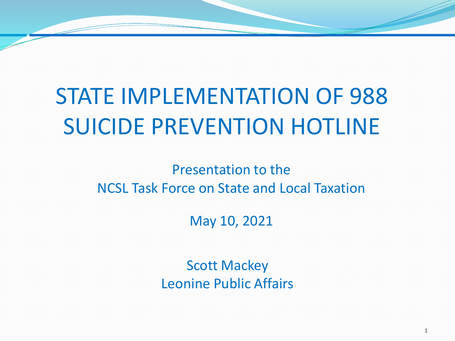#### STATE IMPLEMENTATION OF 988 SUICIDE PREVENTION HOTLINE

Presentation to the NCSL Task Force on State and Local Taxation

May 10, 2021

Scott Mackey Leonine Public Affairs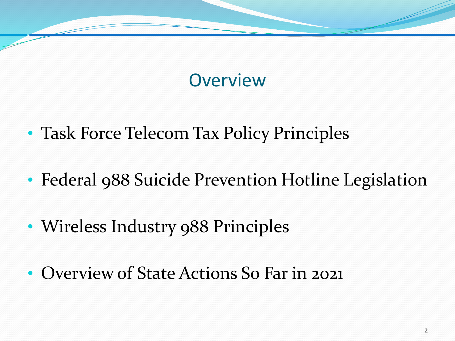#### **Overview**

- Task Force Telecom Tax Policy Principles
- Federal 988 Suicide Prevention Hotline Legislation
- Wireless Industry 988 Principles
- Overview of State Actions So Far in 2021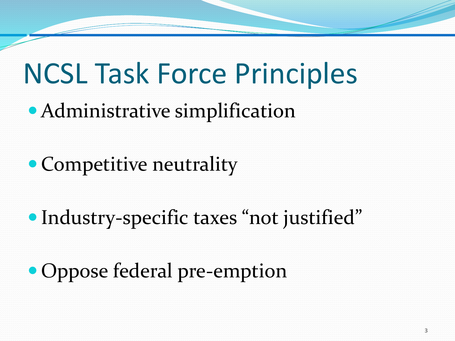## NCSL Task Force Principles

- Administrative simplification
- Competitive neutrality
- Industry-specific taxes "not justified"
- Oppose federal pre-emption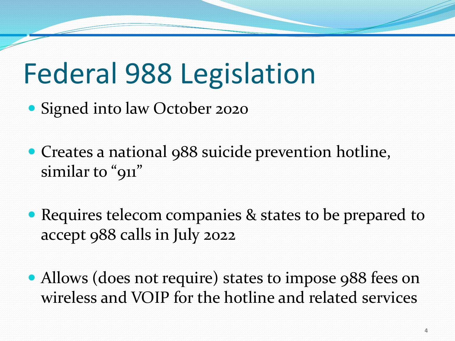## Federal 988 Legislation

Signed into law October 2020

- Creates a national 988 suicide prevention hotline, similar to "911"
- Requires telecom companies & states to be prepared to accept 988 calls in July 2022
- Allows (does not require) states to impose 988 fees on wireless and VOIP for the hotline and related services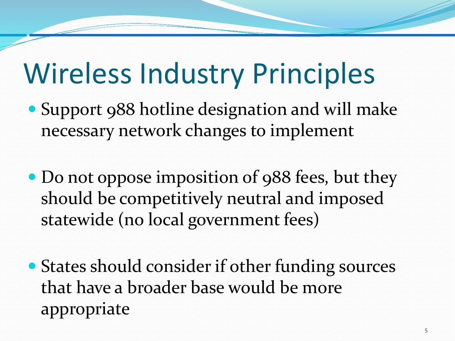## Wireless Industry Principles

- Support 988 hotline designation and will make necessary network changes to implement
- Do not oppose imposition of 988 fees, but they should be competitively neutral and imposed statewide (no local government fees)
- States should consider if other funding sources that have a broader base would be more appropriate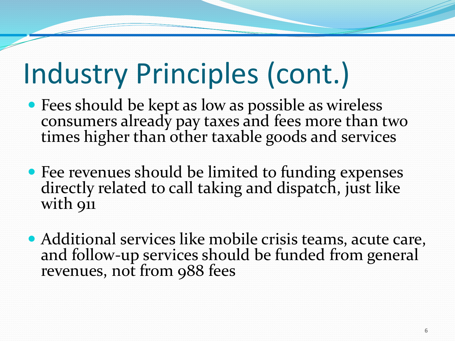# Industry Principles (cont.)

- Fees should be kept as low as possible as wireless consumers already pay taxes and fees more than two times higher than other taxable goods and services
- Fee revenues should be limited to funding expenses directly related to call taking and dispatch, just like with 911
- Additional services like mobile crisis teams, acute care, and follow-up services should be funded from general revenues, not from 988 fees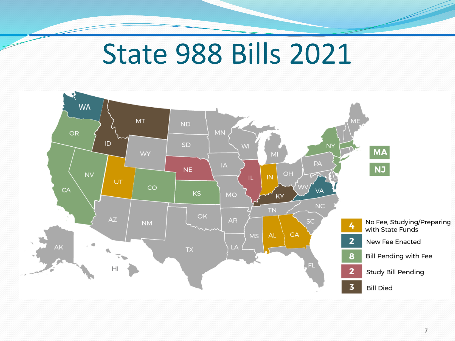#### State 988 Bills 2021

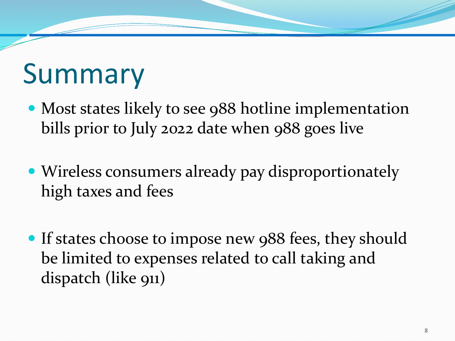### Summary

- Most states likely to see 988 hotline implementation bills prior to July 2022 date when 988 goes live
- Wireless consumers already pay disproportionately high taxes and fees
- If states choose to impose new 988 fees, they should be limited to expenses related to call taking and dispatch (like 911)